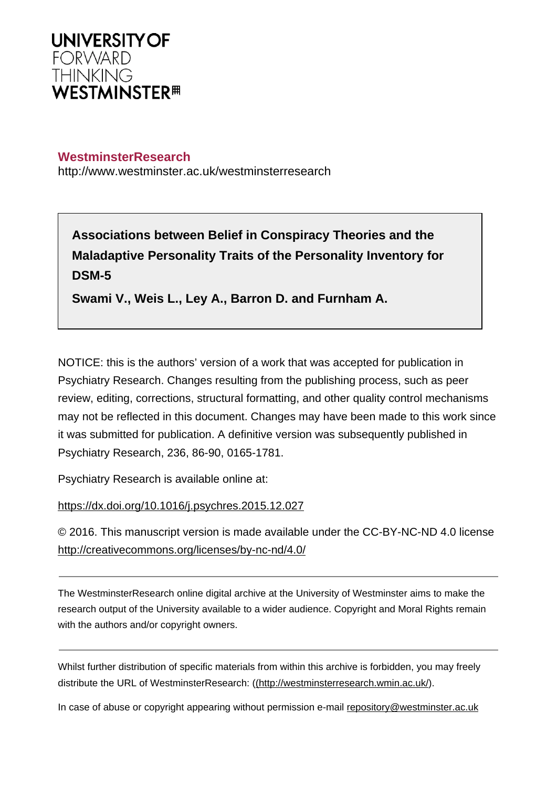

## **WestminsterResearch**

http://www.westminster.ac.uk/westminsterresearch

**Associations between Belief in Conspiracy Theories and the Maladaptive Personality Traits of the Personality Inventory for DSM-5**

**Swami V., Weis L., Ley A., Barron D. and Furnham A.**

NOTICE: this is the authors' version of a work that was accepted for publication in Psychiatry Research. Changes resulting from the publishing process, such as peer review, editing, corrections, structural formatting, and other quality control mechanisms may not be reflected in this document. Changes may have been made to this work since it was submitted for publication. A definitive version was subsequently published in Psychiatry Research, 236, 86-90, 0165-1781.

Psychiatry Research is available online at:

<https://dx.doi.org/10.1016/j.psychres.2015.12.027>

© 2016. This manuscript version is made available under the CC-BY-NC-ND 4.0 license <http://creativecommons.org/licenses/by-nc-nd/4.0/>

The WestminsterResearch online digital archive at the University of Westminster aims to make the research output of the University available to a wider audience. Copyright and Moral Rights remain with the authors and/or copyright owners.

Whilst further distribution of specific materials from within this archive is forbidden, you may freely distribute the URL of WestminsterResearch: [\(\(http://westminsterresearch.wmin.ac.uk/](http://westminsterresearch.wmin.ac.uk/)).

In case of abuse or copyright appearing without permission e-mail <repository@westminster.ac.uk>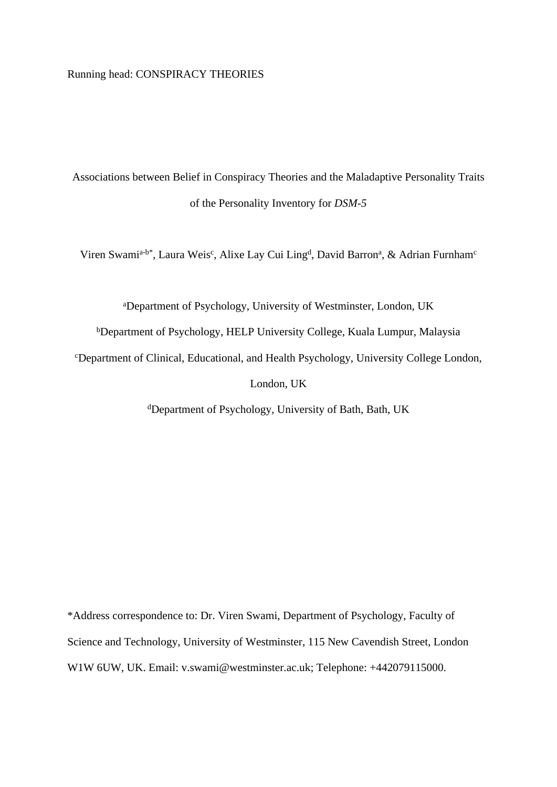### Running head: CONSPIRACY THEORIES

Associations between Belief in Conspiracy Theories and the Maladaptive Personality Traits of the Personality Inventory for *DSM-5*

Viren Swami<sup>a-b\*</sup>, Laura Weis<sup>c</sup>, Alixe Lay Cui Ling<sup>d</sup>, David Barron<sup>a</sup>, & Adrian Furnham<sup>c</sup>

<sup>a</sup>Department of Psychology, University of Westminster, London, UK

<sup>b</sup>Department of Psychology, HELP University College, Kuala Lumpur, Malaysia

<sup>c</sup>Department of Clinical, Educational, and Health Psychology, University College London,

London, UK

<sup>d</sup>Department of Psychology, University of Bath, Bath, UK

\*Address correspondence to: Dr. Viren Swami, Department of Psychology, Faculty of Science and Technology, University of Westminster, 115 New Cavendish Street, London W1W 6UW, UK. Email: v.swami@westminster.ac.uk; Telephone: +442079115000.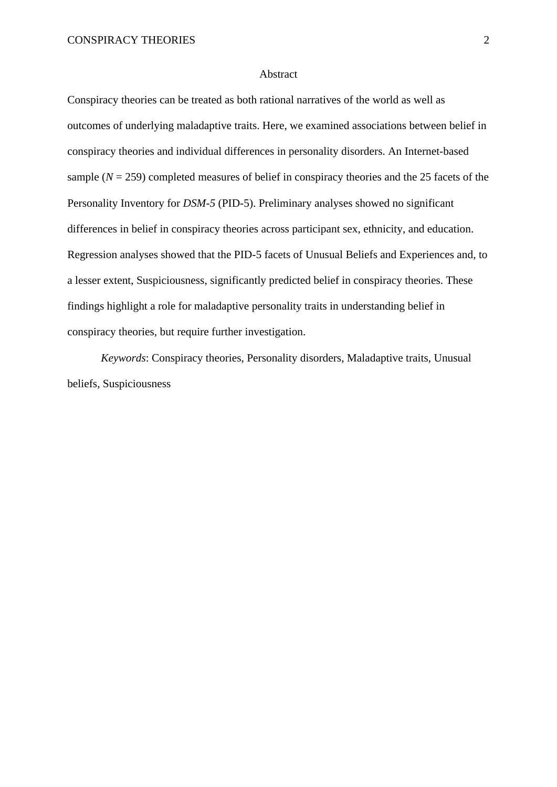#### Abstract

Conspiracy theories can be treated as both rational narratives of the world as well as outcomes of underlying maladaptive traits. Here, we examined associations between belief in conspiracy theories and individual differences in personality disorders. An Internet-based sample  $(N = 259)$  completed measures of belief in conspiracy theories and the 25 facets of the Personality Inventory for *DSM-5* (PID-5). Preliminary analyses showed no significant differences in belief in conspiracy theories across participant sex, ethnicity, and education. Regression analyses showed that the PID-5 facets of Unusual Beliefs and Experiences and, to a lesser extent, Suspiciousness, significantly predicted belief in conspiracy theories. These findings highlight a role for maladaptive personality traits in understanding belief in conspiracy theories, but require further investigation.

*Keywords*: Conspiracy theories, Personality disorders, Maladaptive traits, Unusual beliefs, Suspiciousness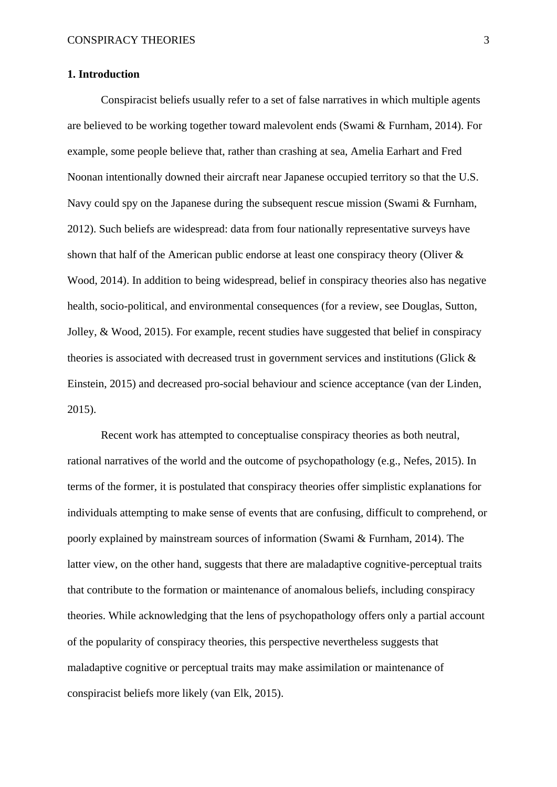## **1. Introduction**

Conspiracist beliefs usually refer to a set of false narratives in which multiple agents are believed to be working together toward malevolent ends (Swami & Furnham, 2014). For example, some people believe that, rather than crashing at sea, Amelia Earhart and Fred Noonan intentionally downed their aircraft near Japanese occupied territory so that the U.S. Navy could spy on the Japanese during the subsequent rescue mission (Swami & Furnham, 2012). Such beliefs are widespread: data from four nationally representative surveys have shown that half of the American public endorse at least one conspiracy theory (Oliver & Wood, 2014). In addition to being widespread, belief in conspiracy theories also has negative health, socio-political, and environmental consequences (for a review, see Douglas, Sutton, Jolley, & Wood, 2015). For example, recent studies have suggested that belief in conspiracy theories is associated with decreased trust in government services and institutions (Glick & Einstein, 2015) and decreased pro-social behaviour and science acceptance (van der Linden, 2015).

Recent work has attempted to conceptualise conspiracy theories as both neutral, rational narratives of the world and the outcome of psychopathology (e.g., Nefes, 2015). In terms of the former, it is postulated that conspiracy theories offer simplistic explanations for individuals attempting to make sense of events that are confusing, difficult to comprehend, or poorly explained by mainstream sources of information (Swami & Furnham, 2014). The latter view, on the other hand, suggests that there are maladaptive cognitive-perceptual traits that contribute to the formation or maintenance of anomalous beliefs, including conspiracy theories. While acknowledging that the lens of psychopathology offers only a partial account of the popularity of conspiracy theories, this perspective nevertheless suggests that maladaptive cognitive or perceptual traits may make assimilation or maintenance of conspiracist beliefs more likely (van Elk, 2015).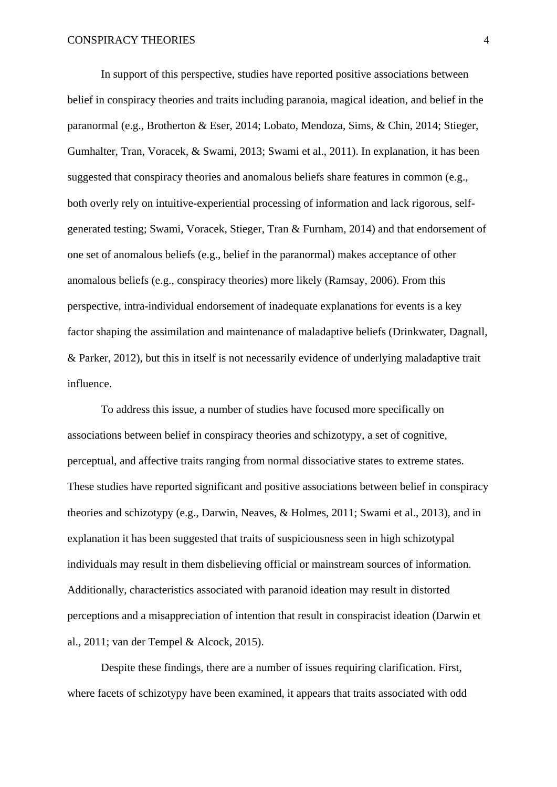In support of this perspective, studies have reported positive associations between belief in conspiracy theories and traits including paranoia, magical ideation, and belief in the paranormal (e.g., Brotherton & Eser, 2014; Lobato, Mendoza, Sims, & Chin, 2014; Stieger, Gumhalter, Tran, Voracek, & Swami, 2013; Swami et al., 2011). In explanation, it has been suggested that conspiracy theories and anomalous beliefs share features in common (e.g., both overly rely on intuitive-experiential processing of information and lack rigorous, selfgenerated testing; Swami, Voracek, Stieger, Tran & Furnham, 2014) and that endorsement of one set of anomalous beliefs (e.g., belief in the paranormal) makes acceptance of other anomalous beliefs (e.g., conspiracy theories) more likely (Ramsay, 2006). From this perspective, intra-individual endorsement of inadequate explanations for events is a key factor shaping the assimilation and maintenance of maladaptive beliefs (Drinkwater, Dagnall, & Parker, 2012), but this in itself is not necessarily evidence of underlying maladaptive trait influence.

To address this issue, a number of studies have focused more specifically on associations between belief in conspiracy theories and schizotypy, a set of cognitive, perceptual, and affective traits ranging from normal dissociative states to extreme states. These studies have reported significant and positive associations between belief in conspiracy theories and schizotypy (e.g., Darwin, Neaves, & Holmes, 2011; Swami et al., 2013), and in explanation it has been suggested that traits of suspiciousness seen in high schizotypal individuals may result in them disbelieving official or mainstream sources of information. Additionally, characteristics associated with paranoid ideation may result in distorted perceptions and a misappreciation of intention that result in conspiracist ideation (Darwin et al., 2011; van der Tempel & Alcock, 2015).

Despite these findings, there are a number of issues requiring clarification. First, where facets of schizotypy have been examined, it appears that traits associated with odd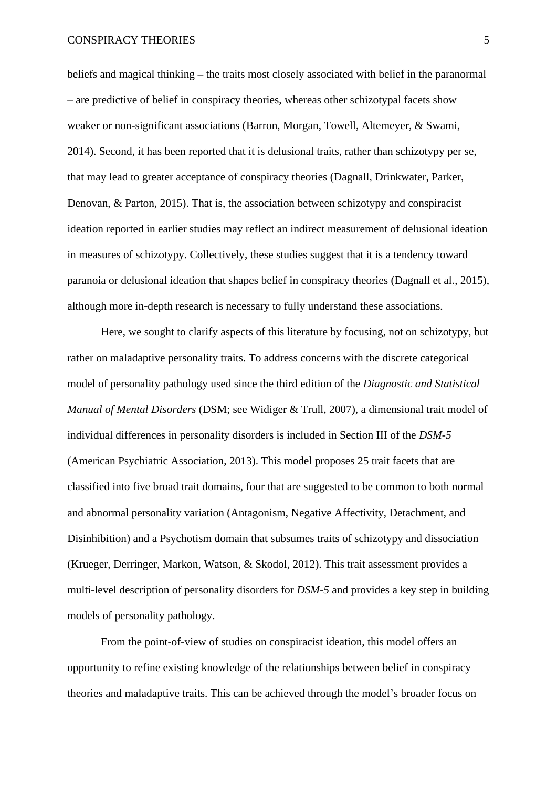## CONSPIRACY THEORIES 5

beliefs and magical thinking – the traits most closely associated with belief in the paranormal – are predictive of belief in conspiracy theories, whereas other schizotypal facets show weaker or non-significant associations (Barron, Morgan, Towell, Altemeyer, & Swami, 2014). Second, it has been reported that it is delusional traits, rather than schizotypy per se, that may lead to greater acceptance of conspiracy theories (Dagnall, Drinkwater, Parker, Denovan, & Parton, 2015). That is, the association between schizotypy and conspiracist ideation reported in earlier studies may reflect an indirect measurement of delusional ideation in measures of schizotypy. Collectively, these studies suggest that it is a tendency toward paranoia or delusional ideation that shapes belief in conspiracy theories (Dagnall et al., 2015), although more in-depth research is necessary to fully understand these associations.

Here, we sought to clarify aspects of this literature by focusing, not on schizotypy, but rather on maladaptive personality traits. To address concerns with the discrete categorical model of personality pathology used since the third edition of the *Diagnostic and Statistical Manual of Mental Disorders* (DSM; see Widiger & Trull, 2007), a dimensional trait model of individual differences in personality disorders is included in Section III of the *DSM-5* (American Psychiatric Association, 2013). This model proposes 25 trait facets that are classified into five broad trait domains, four that are suggested to be common to both normal and abnormal personality variation (Antagonism, Negative Affectivity, Detachment, and Disinhibition) and a Psychotism domain that subsumes traits of schizotypy and dissociation (Krueger, Derringer, Markon, Watson, & Skodol, 2012). This trait assessment provides a multi-level description of personality disorders for *DSM-5* and provides a key step in building models of personality pathology.

From the point-of-view of studies on conspiracist ideation, this model offers an opportunity to refine existing knowledge of the relationships between belief in conspiracy theories and maladaptive traits. This can be achieved through the model's broader focus on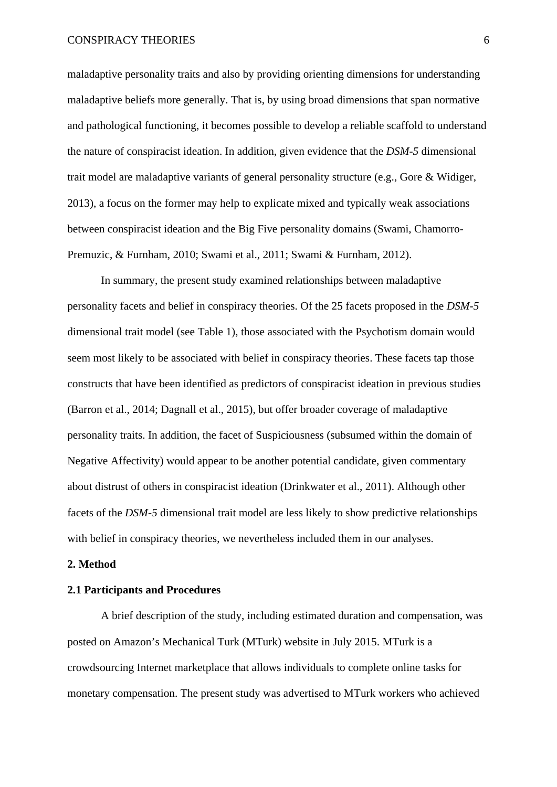maladaptive personality traits and also by providing orienting dimensions for understanding maladaptive beliefs more generally. That is, by using broad dimensions that span normative and pathological functioning, it becomes possible to develop a reliable scaffold to understand the nature of conspiracist ideation. In addition, given evidence that the *DSM-5* dimensional trait model are maladaptive variants of general personality structure (e.g., Gore & Widiger, 2013), a focus on the former may help to explicate mixed and typically weak associations between conspiracist ideation and the Big Five personality domains (Swami, Chamorro-Premuzic, & Furnham, 2010; Swami et al., 2011; Swami & Furnham, 2012).

In summary, the present study examined relationships between maladaptive personality facets and belief in conspiracy theories. Of the 25 facets proposed in the *DSM-5* dimensional trait model (see Table 1), those associated with the Psychotism domain would seem most likely to be associated with belief in conspiracy theories. These facets tap those constructs that have been identified as predictors of conspiracist ideation in previous studies (Barron et al., 2014; Dagnall et al., 2015), but offer broader coverage of maladaptive personality traits. In addition, the facet of Suspiciousness (subsumed within the domain of Negative Affectivity) would appear to be another potential candidate, given commentary about distrust of others in conspiracist ideation (Drinkwater et al., 2011). Although other facets of the *DSM-5* dimensional trait model are less likely to show predictive relationships with belief in conspiracy theories, we nevertheless included them in our analyses.

### **2. Method**

### **2.1 Participants and Procedures**

A brief description of the study, including estimated duration and compensation, was posted on Amazon's Mechanical Turk (MTurk) website in July 2015. MTurk is a crowdsourcing Internet marketplace that allows individuals to complete online tasks for monetary compensation. The present study was advertised to MTurk workers who achieved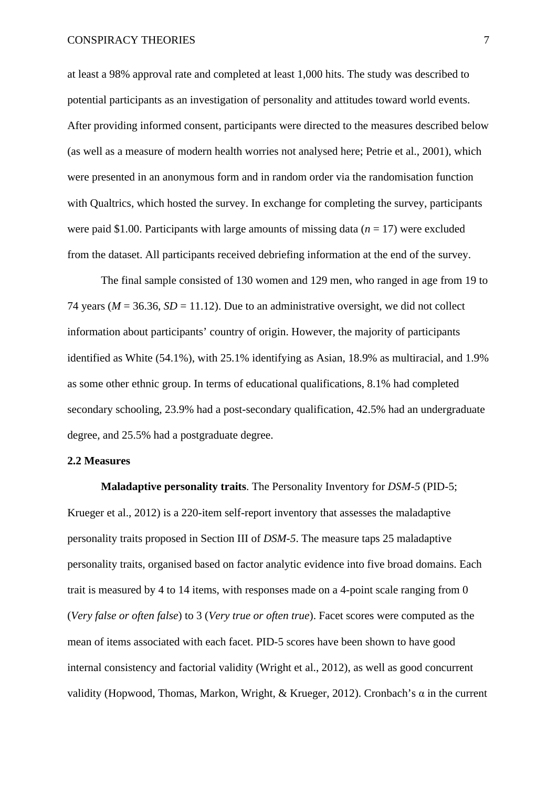at least a 98% approval rate and completed at least 1,000 hits. The study was described to potential participants as an investigation of personality and attitudes toward world events. After providing informed consent, participants were directed to the measures described below (as well as a measure of modern health worries not analysed here; Petrie et al., 2001), which were presented in an anonymous form and in random order via the randomisation function with Qualtrics, which hosted the survey. In exchange for completing the survey, participants were paid \$1.00. Participants with large amounts of missing data (*n* = 17) were excluded from the dataset. All participants received debriefing information at the end of the survey.

The final sample consisted of 130 women and 129 men, who ranged in age from 19 to 74 years ( $M = 36.36$ ,  $SD = 11.12$ ). Due to an administrative oversight, we did not collect information about participants' country of origin. However, the majority of participants identified as White (54.1%), with 25.1% identifying as Asian, 18.9% as multiracial, and 1.9% as some other ethnic group. In terms of educational qualifications, 8.1% had completed secondary schooling, 23.9% had a post-secondary qualification, 42.5% had an undergraduate degree, and 25.5% had a postgraduate degree.

## **2.2 Measures**

**Maladaptive personality traits**. The Personality Inventory for *DSM-5* (PID-5; Krueger et al., 2012) is a 220-item self-report inventory that assesses the maladaptive personality traits proposed in Section III of *DSM-5*. The measure taps 25 maladaptive personality traits, organised based on factor analytic evidence into five broad domains. Each trait is measured by 4 to 14 items, with responses made on a 4-point scale ranging from 0 (*Very false or often false*) to 3 (*Very true or often true*). Facet scores were computed as the mean of items associated with each facet. PID-5 scores have been shown to have good internal consistency and factorial validity (Wright et al., 2012), as well as good concurrent validity (Hopwood, Thomas, Markon, Wright, & Krueger, 2012). Cronbach's α in the current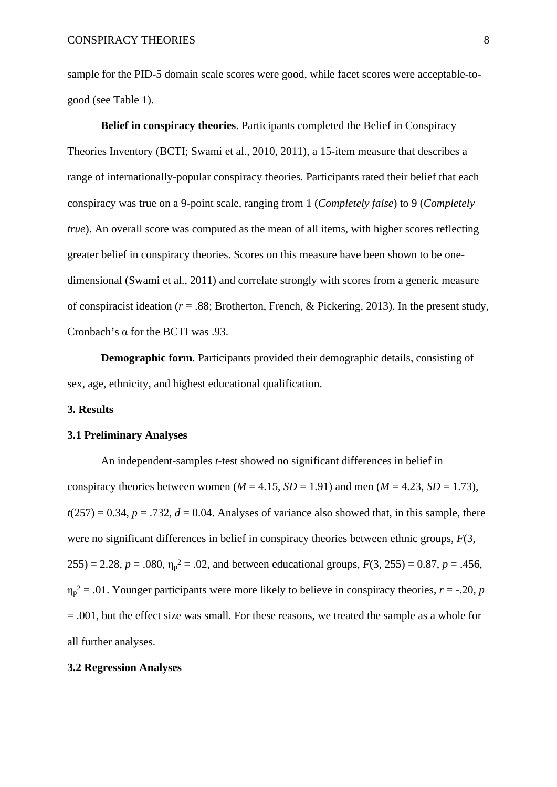sample for the PID-5 domain scale scores were good, while facet scores were acceptable-togood (see Table 1).

**Belief in conspiracy theories**. Participants completed the Belief in Conspiracy Theories Inventory (BCTI; Swami et al., 2010, 2011), a 15-item measure that describes a range of internationally-popular conspiracy theories. Participants rated their belief that each conspiracy was true on a 9-point scale, ranging from 1 (*Completely false*) to 9 (*Completely true*). An overall score was computed as the mean of all items, with higher scores reflecting greater belief in conspiracy theories. Scores on this measure have been shown to be onedimensional (Swami et al., 2011) and correlate strongly with scores from a generic measure of conspiracist ideation ( $r = .88$ ; Brotherton, French, & Pickering, 2013). In the present study, Cronbach's α for the BCTI was .93.

**Demographic form**. Participants provided their demographic details, consisting of sex, age, ethnicity, and highest educational qualification.

## **3. Results**

#### **3.1 Preliminary Analyses**

An independent-samples *t*-test showed no significant differences in belief in conspiracy theories between women ( $M = 4.15$ ,  $SD = 1.91$ ) and men ( $M = 4.23$ ,  $SD = 1.73$ ),  $t(257) = 0.34$ ,  $p = .732$ ,  $d = 0.04$ . Analyses of variance also showed that, in this sample, there were no significant differences in belief in conspiracy theories between ethnic groups, *F*(3,  $255$ ) = 2.28,  $p = .080$ ,  $\eta_p^2 = .02$ , and between educational groups,  $F(3, 255) = 0.87$ ,  $p = .456$ ,  $\eta_p^2 = 0.01$ . Younger participants were more likely to believe in conspiracy theories,  $r = -0.20$ , *p* = .001, but the effect size was small. For these reasons, we treated the sample as a whole for all further analyses.

#### **3.2 Regression Analyses**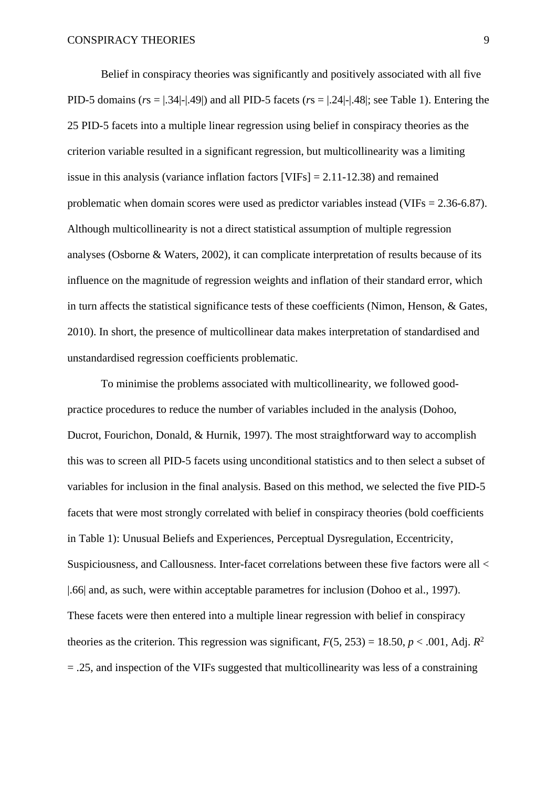Belief in conspiracy theories was significantly and positively associated with all five PID-5 domains (*r*s = |.34|-|.49|) and all PID-5 facets (*r*s = |.24|-|.48|; see Table 1). Entering the 25 PID-5 facets into a multiple linear regression using belief in conspiracy theories as the criterion variable resulted in a significant regression, but multicollinearity was a limiting issue in this analysis (variance inflation factors [VIFs] = 2.11-12.38) and remained problematic when domain scores were used as predictor variables instead (VIFs = 2.36-6.87). Although multicollinearity is not a direct statistical assumption of multiple regression analyses (Osborne & Waters, 2002), it can complicate interpretation of results because of its influence on the magnitude of regression weights and inflation of their standard error, which in turn affects the statistical significance tests of these coefficients (Nimon, Henson, & Gates, 2010). In short, the presence of multicollinear data makes interpretation of standardised and unstandardised regression coefficients problematic.

To minimise the problems associated with multicollinearity, we followed goodpractice procedures to reduce the number of variables included in the analysis (Dohoo, Ducrot, Fourichon, Donald, & Hurnik, 1997). The most straightforward way to accomplish this was to screen all PID-5 facets using unconditional statistics and to then select a subset of variables for inclusion in the final analysis. Based on this method, we selected the five PID-5 facets that were most strongly correlated with belief in conspiracy theories (bold coefficients in Table 1): Unusual Beliefs and Experiences, Perceptual Dysregulation, Eccentricity, Suspiciousness, and Callousness. Inter-facet correlations between these five factors were all < |.66| and, as such, were within acceptable parametres for inclusion (Dohoo et al., 1997). These facets were then entered into a multiple linear regression with belief in conspiracy theories as the criterion. This regression was significant,  $F(5, 253) = 18.50$ ,  $p < .001$ , Adj.  $R^2$ = .25, and inspection of the VIFs suggested that multicollinearity was less of a constraining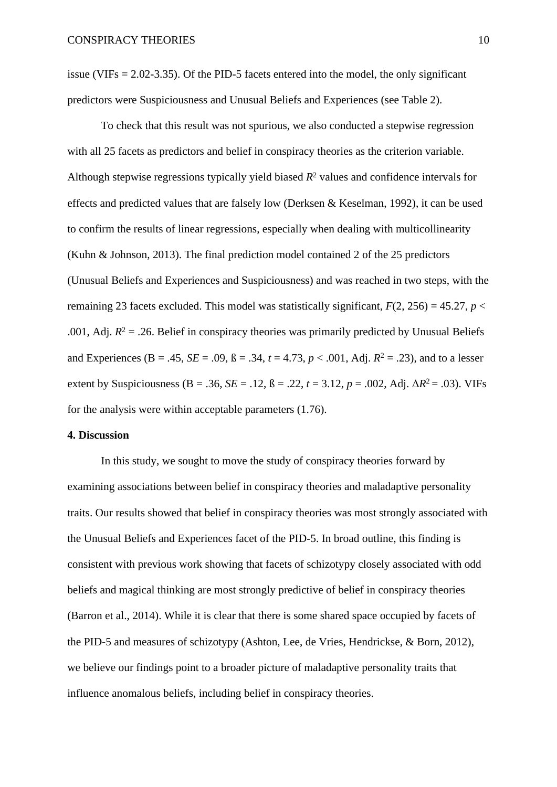issue (VIFs = 2.02-3.35). Of the PID-5 facets entered into the model, the only significant predictors were Suspiciousness and Unusual Beliefs and Experiences (see Table 2).

To check that this result was not spurious, we also conducted a stepwise regression with all 25 facets as predictors and belief in conspiracy theories as the criterion variable. Although stepwise regressions typically yield biased *R*<sup>2</sup> values and confidence intervals for effects and predicted values that are falsely low (Derksen & Keselman, 1992), it can be used to confirm the results of linear regressions, especially when dealing with multicollinearity (Kuhn & Johnson, 2013). The final prediction model contained 2 of the 25 predictors (Unusual Beliefs and Experiences and Suspiciousness) and was reached in two steps, with the remaining 23 facets excluded. This model was statistically significant,  $F(2, 256) = 45.27$ ,  $p <$ .001, Adj.  $R^2 = 0.26$ . Belief in conspiracy theories was primarily predicted by Unusual Beliefs. and Experiences (B = .45, *SE* = .09,  $\beta$  = .34,  $t = 4.73$ ,  $p < .001$ , Adj.  $R^2 = .23$ ), and to a lesser extent by Suspiciousness (B = .36, *SE* = .12,  $\beta$  = .22,  $t = 3.12$ ,  $p = .002$ , Adj.  $\Delta R^2 = .03$ ). VIFs for the analysis were within acceptable parameters (1.76).

## **4. Discussion**

In this study, we sought to move the study of conspiracy theories forward by examining associations between belief in conspiracy theories and maladaptive personality traits. Our results showed that belief in conspiracy theories was most strongly associated with the Unusual Beliefs and Experiences facet of the PID-5. In broad outline, this finding is consistent with previous work showing that facets of schizotypy closely associated with odd beliefs and magical thinking are most strongly predictive of belief in conspiracy theories (Barron et al., 2014). While it is clear that there is some shared space occupied by facets of the PID-5 and measures of schizotypy (Ashton, Lee, de Vries, Hendrickse, & Born, 2012), we believe our findings point to a broader picture of maladaptive personality traits that influence anomalous beliefs, including belief in conspiracy theories.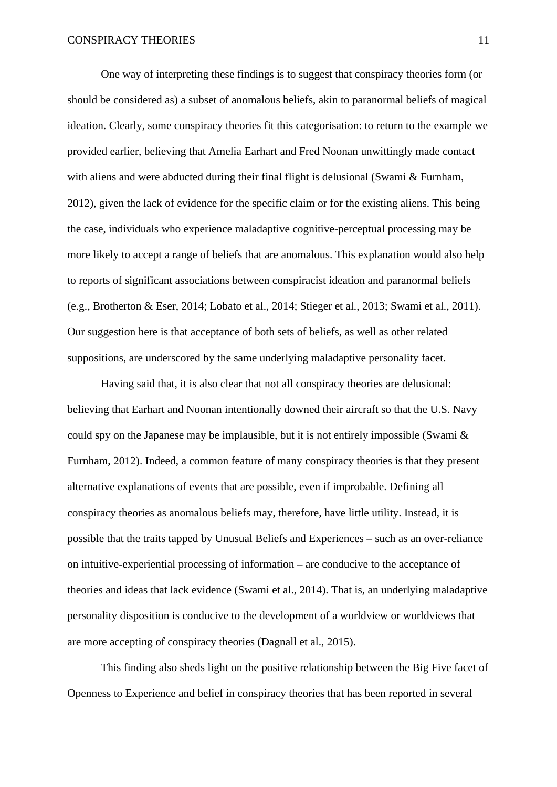One way of interpreting these findings is to suggest that conspiracy theories form (or should be considered as) a subset of anomalous beliefs, akin to paranormal beliefs of magical ideation. Clearly, some conspiracy theories fit this categorisation: to return to the example we provided earlier, believing that Amelia Earhart and Fred Noonan unwittingly made contact with aliens and were abducted during their final flight is delusional (Swami & Furnham, 2012), given the lack of evidence for the specific claim or for the existing aliens. This being the case, individuals who experience maladaptive cognitive-perceptual processing may be more likely to accept a range of beliefs that are anomalous. This explanation would also help to reports of significant associations between conspiracist ideation and paranormal beliefs (e.g., Brotherton & Eser, 2014; Lobato et al., 2014; Stieger et al., 2013; Swami et al., 2011). Our suggestion here is that acceptance of both sets of beliefs, as well as other related suppositions, are underscored by the same underlying maladaptive personality facet.

Having said that, it is also clear that not all conspiracy theories are delusional: believing that Earhart and Noonan intentionally downed their aircraft so that the U.S. Navy could spy on the Japanese may be implausible, but it is not entirely impossible (Swami  $\&$ Furnham, 2012). Indeed, a common feature of many conspiracy theories is that they present alternative explanations of events that are possible, even if improbable. Defining all conspiracy theories as anomalous beliefs may, therefore, have little utility. Instead, it is possible that the traits tapped by Unusual Beliefs and Experiences – such as an over-reliance on intuitive-experiential processing of information – are conducive to the acceptance of theories and ideas that lack evidence (Swami et al., 2014). That is, an underlying maladaptive personality disposition is conducive to the development of a worldview or worldviews that are more accepting of conspiracy theories (Dagnall et al., 2015).

This finding also sheds light on the positive relationship between the Big Five facet of Openness to Experience and belief in conspiracy theories that has been reported in several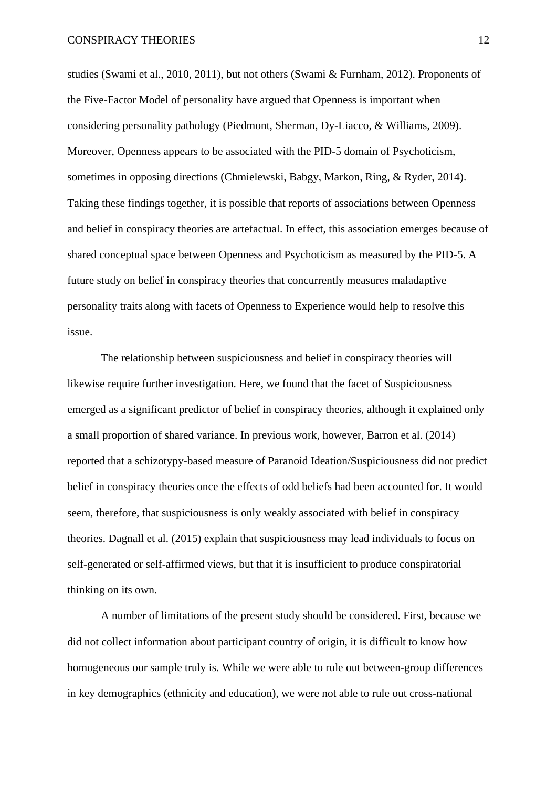studies (Swami et al., 2010, 2011), but not others (Swami & Furnham, 2012). Proponents of the Five-Factor Model of personality have argued that Openness is important when considering personality pathology (Piedmont, Sherman, Dy-Liacco, & Williams, 2009). Moreover, Openness appears to be associated with the PID-5 domain of Psychoticism, sometimes in opposing directions (Chmielewski, Babgy, Markon, Ring, & Ryder, 2014). Taking these findings together, it is possible that reports of associations between Openness and belief in conspiracy theories are artefactual. In effect, this association emerges because of shared conceptual space between Openness and Psychoticism as measured by the PID-5. A future study on belief in conspiracy theories that concurrently measures maladaptive personality traits along with facets of Openness to Experience would help to resolve this issue.

The relationship between suspiciousness and belief in conspiracy theories will likewise require further investigation. Here, we found that the facet of Suspiciousness emerged as a significant predictor of belief in conspiracy theories, although it explained only a small proportion of shared variance. In previous work, however, Barron et al. (2014) reported that a schizotypy-based measure of Paranoid Ideation/Suspiciousness did not predict belief in conspiracy theories once the effects of odd beliefs had been accounted for. It would seem, therefore, that suspiciousness is only weakly associated with belief in conspiracy theories. Dagnall et al. (2015) explain that suspiciousness may lead individuals to focus on self-generated or self-affirmed views, but that it is insufficient to produce conspiratorial thinking on its own.

A number of limitations of the present study should be considered. First, because we did not collect information about participant country of origin, it is difficult to know how homogeneous our sample truly is. While we were able to rule out between-group differences in key demographics (ethnicity and education), we were not able to rule out cross-national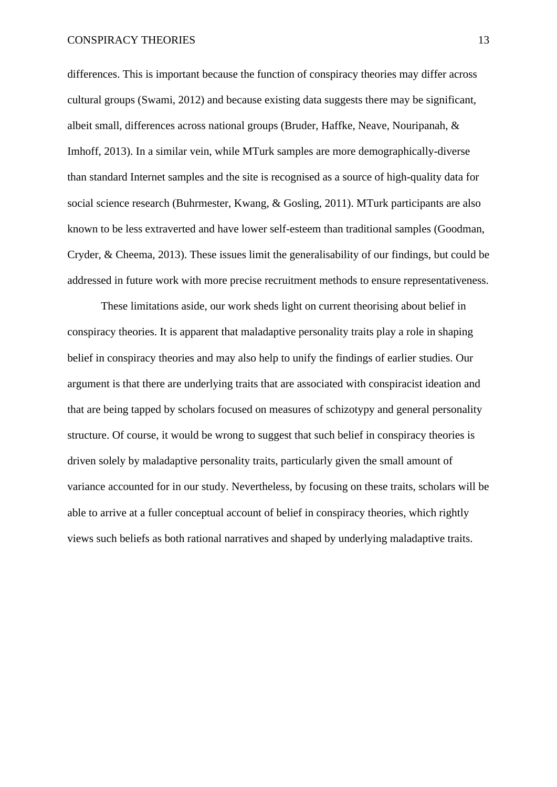#### CONSPIRACY THEORIES 13

differences. This is important because the function of conspiracy theories may differ across cultural groups (Swami, 2012) and because existing data suggests there may be significant, albeit small, differences across national groups (Bruder, Haffke, Neave, Nouripanah, & Imhoff, 2013). In a similar vein, while MTurk samples are more demographically-diverse than standard Internet samples and the site is recognised as a source of high-quality data for social science research (Buhrmester, Kwang, & Gosling, 2011). MTurk participants are also known to be less extraverted and have lower self-esteem than traditional samples (Goodman, Cryder, & Cheema, 2013). These issues limit the generalisability of our findings, but could be addressed in future work with more precise recruitment methods to ensure representativeness.

These limitations aside, our work sheds light on current theorising about belief in conspiracy theories. It is apparent that maladaptive personality traits play a role in shaping belief in conspiracy theories and may also help to unify the findings of earlier studies. Our argument is that there are underlying traits that are associated with conspiracist ideation and that are being tapped by scholars focused on measures of schizotypy and general personality structure. Of course, it would be wrong to suggest that such belief in conspiracy theories is driven solely by maladaptive personality traits, particularly given the small amount of variance accounted for in our study. Nevertheless, by focusing on these traits, scholars will be able to arrive at a fuller conceptual account of belief in conspiracy theories, which rightly views such beliefs as both rational narratives and shaped by underlying maladaptive traits.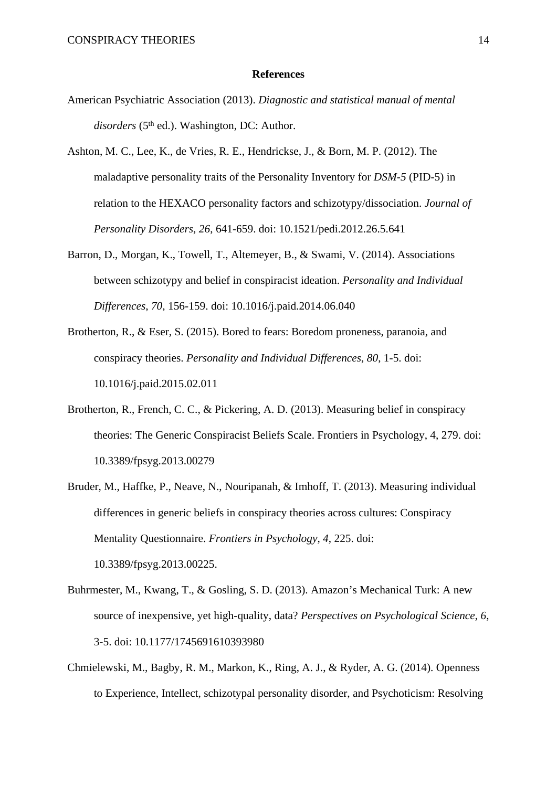#### **References**

- American Psychiatric Association (2013). *Diagnostic and statistical manual of mental* disorders (5<sup>th</sup> ed.). Washington, DC: Author.
- Ashton, M. C., Lee, K., de Vries, R. E., Hendrickse, J., & Born, M. P. (2012). The maladaptive personality traits of the Personality Inventory for *DSM-5* (PID-5) in relation to the HEXACO personality factors and schizotypy/dissociation. *Journal of Personality Disorders*, *26*, 641-659. doi: 10.1521/pedi.2012.26.5.641
- Barron, D., Morgan, K., Towell, T., Altemeyer, B., & Swami, V. (2014). Associations between schizotypy and belief in conspiracist ideation. *Personality and Individual Differences*, *70*, 156-159. doi: 10.1016/j.paid.2014.06.040
- Brotherton, R., & Eser, S. (2015). Bored to fears: Boredom proneness, paranoia, and conspiracy theories. *Personality and Individual Differences*, *80*, 1-5. doi: 10.1016/j.paid.2015.02.011
- Brotherton, R., French, C. C., & Pickering, A. D. (2013). Measuring belief in conspiracy theories: The Generic Conspiracist Beliefs Scale. Frontiers in Psychology, 4, 279. doi: 10.3389/fpsyg.2013.00279
- Bruder, M., Haffke, P., Neave, N., Nouripanah, & Imhoff, T. (2013). Measuring individual differences in generic beliefs in conspiracy theories across cultures: Conspiracy Mentality Questionnaire. *Frontiers in Psychology*, *4*, 225. doi: 10.3389/fpsyg.2013.00225.
- Buhrmester, M., Kwang, T., & Gosling, S. D. (2013). Amazon's Mechanical Turk: A new source of inexpensive, yet high-quality, data? *Perspectives on Psychological Science*, *6*, 3-5. doi: 10.1177/1745691610393980
- Chmielewski, M., Bagby, R. M., Markon, K., Ring, A. J., & Ryder, A. G. (2014). Openness to Experience, Intellect, schizotypal personality disorder, and Psychoticism: Resolving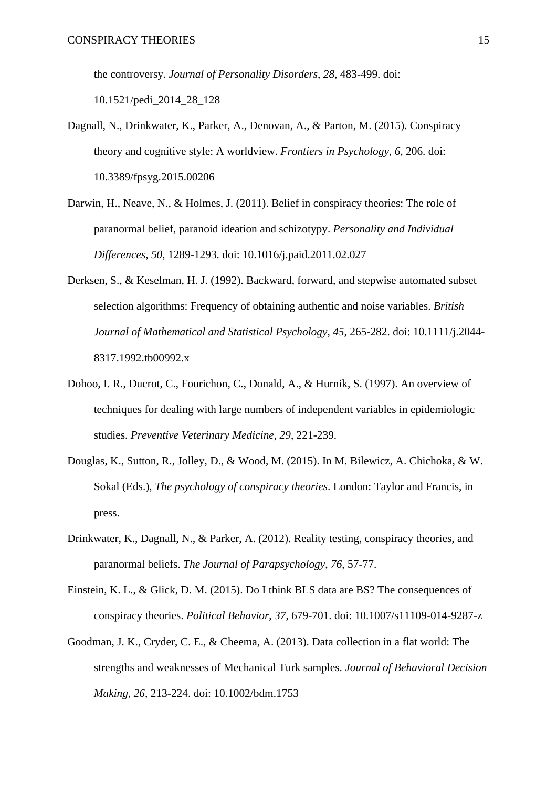the controversy. *Journal of Personality Disorders*, *28*, 483-499. doi: 10.1521/pedi\_2014\_28\_128

- Dagnall, N., Drinkwater, K., Parker, A., Denovan, A., & Parton, M. (2015). Conspiracy theory and cognitive style: A worldview. *Frontiers in Psychology*, *6*, 206. doi: 10.3389/fpsyg.2015.00206
- Darwin, H., Neave, N., & Holmes, J. (2011). Belief in conspiracy theories: The role of paranormal belief, paranoid ideation and schizotypy. *Personality and Individual Differences*, *50*, 1289-1293. doi: 10.1016/j.paid.2011.02.027
- Derksen, S., & Keselman, H. J. (1992). Backward, forward, and stepwise automated subset selection algorithms: Frequency of obtaining authentic and noise variables. *British Journal of Mathematical and Statistical Psychology*, *45*, 265-282. doi: 10.1111/j.2044- 8317.1992.tb00992.x
- Dohoo, I. R., Ducrot, C., Fourichon, C., Donald, A., & Hurnik, S. (1997). An overview of techniques for dealing with large numbers of independent variables in epidemiologic studies. *Preventive Veterinary Medicine*, *29*, 221-239.
- Douglas, K., Sutton, R., Jolley, D., & Wood, M. (2015). In M. Bilewicz, A. Chichoka, & W. Sokal (Eds.), *The psychology of conspiracy theories*. London: Taylor and Francis, in press.
- Drinkwater, K., Dagnall, N., & Parker, A. (2012). Reality testing, conspiracy theories, and paranormal beliefs. *The Journal of Parapsychology*, *76*, 57-77.
- Einstein, K. L., & Glick, D. M. (2015). Do I think BLS data are BS? The consequences of conspiracy theories. *Political Behavior*, *37*, 679-701. doi: 10.1007/s11109-014-9287-z
- Goodman, J. K., Cryder, C. E., & Cheema, A. (2013). Data collection in a flat world: The strengths and weaknesses of Mechanical Turk samples. *Journal of Behavioral Decision Making*, *26*, 213-224. doi: 10.1002/bdm.1753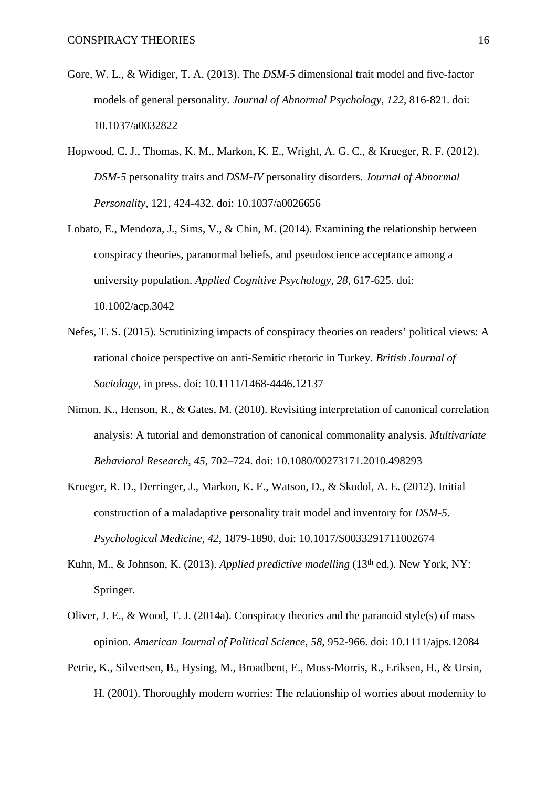- Gore, W. L., & Widiger, T. A. (2013). The *DSM-5* dimensional trait model and five-factor models of general personality. *Journal of Abnormal Psychology*, *122*, 816-821. doi: 10.1037/a0032822
- Hopwood, C. J., Thomas, K. M., Markon, K. E., Wright, A. G. C., & Krueger, R. F. (2012). *DSM-5* personality traits and *DSM-IV* personality disorders. *Journal of Abnormal Personality*, 121, 424-432. doi: 10.1037/a0026656
- Lobato, E., Mendoza, J., Sims, V., & Chin, M. (2014). Examining the relationship between conspiracy theories, paranormal beliefs, and pseudoscience acceptance among a university population. *Applied Cognitive Psychology*, *28*, 617-625. doi: 10.1002/acp.3042
- Nefes, T. S. (2015). Scrutinizing impacts of conspiracy theories on readers' political views: A rational choice perspective on anti-Semitic rhetoric in Turkey. *British Journal of Sociology*, in press. doi: 10.1111/1468-4446.12137
- Nimon, K., Henson, R., & Gates, M. (2010). Revisiting interpretation of canonical correlation analysis: A tutorial and demonstration of canonical commonality analysis. *Multivariate Behavioral Research*, *45*, 702–724. doi: 10.1080/00273171.2010.498293
- Krueger, R. D., Derringer, J., Markon, K. E., Watson, D., & Skodol, A. E. (2012). Initial construction of a maladaptive personality trait model and inventory for *DSM-5*. *Psychological Medicine*, *42*, 1879-1890. doi: 10.1017/S0033291711002674
- Kuhn, M., & Johnson, K. (2013). *Applied predictive modelling* (13<sup>th</sup> ed.). New York, NY: Springer.
- Oliver, J. E., & Wood, T. J. (2014a). Conspiracy theories and the paranoid style(s) of mass opinion. *American Journal of Political Science*, *58*, 952-966. doi: 10.1111/ajps.12084
- Petrie, K., Silvertsen, B., Hysing, M., Broadbent, E., Moss-Morris, R., Eriksen, H., & Ursin, H. (2001). Thoroughly modern worries: The relationship of worries about modernity to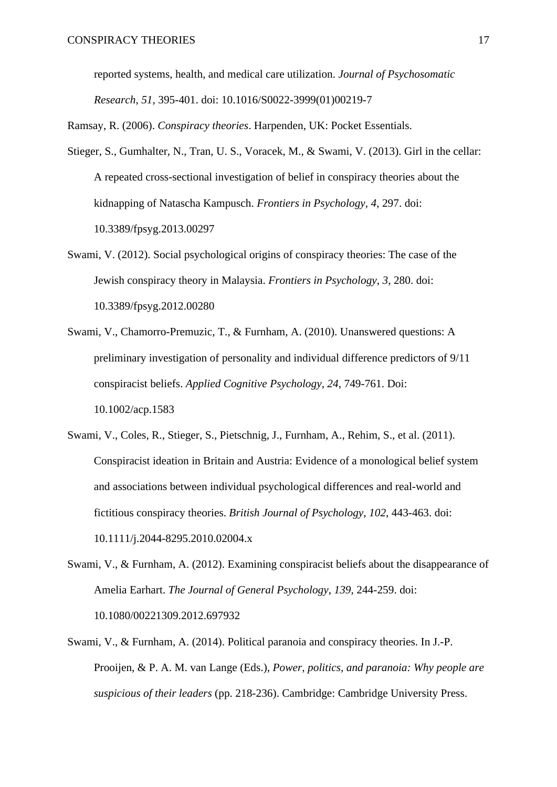reported systems, health, and medical care utilization. *Journal of Psychosomatic Research*, *51*, 395-401. doi: 10.1016/S0022-3999(01)00219-7

Ramsay, R. (2006). *Conspiracy theories*. Harpenden, UK: Pocket Essentials.

- Stieger, S., Gumhalter, N., Tran, U. S., Voracek, M., & Swami, V. (2013). Girl in the cellar: A repeated cross-sectional investigation of belief in conspiracy theories about the kidnapping of Natascha Kampusch. *Frontiers in Psychology*, *4*, 297. doi: 10.3389/fpsyg.2013.00297
- Swami, V. (2012). Social psychological origins of conspiracy theories: The case of the Jewish conspiracy theory in Malaysia. *Frontiers in Psychology*, *3*, 280. doi: 10.3389/fpsyg.2012.00280
- Swami, V., Chamorro-Premuzic, T., & Furnham, A. (2010). Unanswered questions: A preliminary investigation of personality and individual difference predictors of 9/11 conspiracist beliefs. *Applied Cognitive Psychology*, *24*, 749-761. Doi: 10.1002/acp.1583
- Swami, V., Coles, R., Stieger, S., Pietschnig, J., Furnham, A., Rehim, S., et al. (2011). Conspiracist ideation in Britain and Austria: Evidence of a monological belief system and associations between individual psychological differences and real-world and fictitious conspiracy theories. *British Journal of Psychology*, *102*, 443-463. doi: 10.1111/j.2044-8295.2010.02004.x
- Swami, V., & Furnham, A. (2012). Examining conspiracist beliefs about the disappearance of Amelia Earhart. *The Journal of General Psychology*, *139*, 244-259. doi: 10.1080/00221309.2012.697932
- Swami, V., & Furnham, A. (2014). Political paranoia and conspiracy theories. In J.-P. Prooijen, & P. A. M. van Lange (Eds.), *Power, politics, and paranoia: Why people are suspicious of their leaders* (pp. 218-236). Cambridge: Cambridge University Press.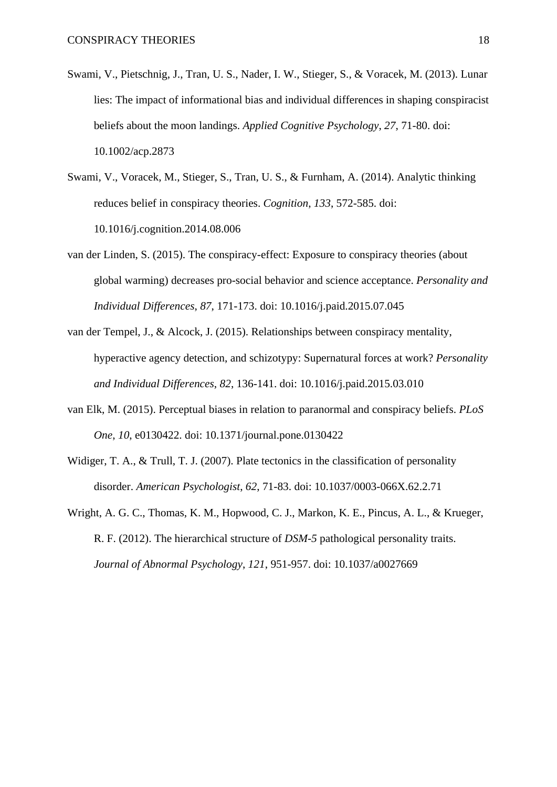- Swami, V., Pietschnig, J., Tran, U. S., Nader, I. W., Stieger, S., & Voracek, M. (2013). Lunar lies: The impact of informational bias and individual differences in shaping conspiracist beliefs about the moon landings. *Applied Cognitive Psychology*, *27*, 71-80. doi: 10.1002/acp.2873
- Swami, V., Voracek, M., Stieger, S., Tran, U. S., & Furnham, A. (2014). Analytic thinking reduces belief in conspiracy theories. *Cognition*, *133*, 572-585. doi: 10.1016/j.cognition.2014.08.006
- van der Linden, S. (2015). The conspiracy-effect: Exposure to conspiracy theories (about global warming) decreases pro-social behavior and science acceptance. *Personality and Individual Differences*, *87*, 171-173. doi: 10.1016/j.paid.2015.07.045
- van der Tempel, J., & Alcock, J. (2015). Relationships between conspiracy mentality, hyperactive agency detection, and schizotypy: Supernatural forces at work? *Personality and Individual Differences*, *82*, 136-141. doi: 10.1016/j.paid.2015.03.010
- van Elk, M. (2015). Perceptual biases in relation to paranormal and conspiracy beliefs. *PLoS One*, *10*, e0130422. doi: 10.1371/journal.pone.0130422
- Widiger, T. A., & Trull, T. J. (2007). Plate tectonics in the classification of personality disorder. *American Psychologist*, *62*, 71-83. doi: 10.1037/0003-066X.62.2.71
- Wright, A. G. C., Thomas, K. M., Hopwood, C. J., Markon, K. E., Pincus, A. L., & Krueger, R. F. (2012). The hierarchical structure of *DSM-5* pathological personality traits. *Journal of Abnormal Psychology*, *121*, 951-957. doi: 10.1037/a0027669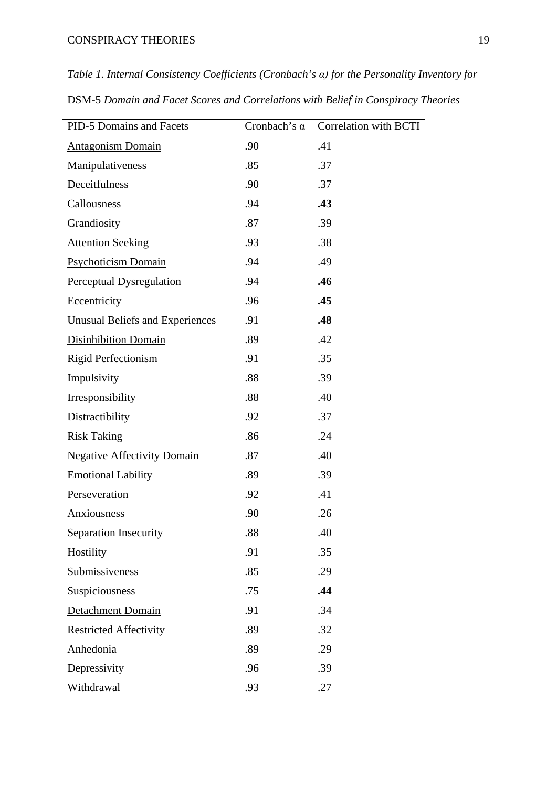## CONSPIRACY THEORIES 19

*Table 1. Internal Consistency Coefficients (Cronbach's α) for the Personality Inventory for*

| DSM-5 Domain and Facet Scores and Correlations with Belief in Conspiracy Theories |  |  |
|-----------------------------------------------------------------------------------|--|--|
|-----------------------------------------------------------------------------------|--|--|

| PID-5 Domains and Facets               | Cronbach's $\alpha$ | Correlation with BCTI |
|----------------------------------------|---------------------|-----------------------|
| <b>Antagonism Domain</b>               | .90                 | .41                   |
| Manipulativeness                       | .85                 | .37                   |
| Deceitfulness                          | .90                 | .37                   |
| Callousness                            | .94                 | .43                   |
| Grandiosity                            | .87                 | .39                   |
| <b>Attention Seeking</b>               | .93                 | .38                   |
| <b>Psychoticism Domain</b>             | .94                 | .49                   |
| Perceptual Dysregulation               | .94                 | .46                   |
| Eccentricity                           | .96                 | .45                   |
| <b>Unusual Beliefs and Experiences</b> | .91                 | .48                   |
| <b>Disinhibition Domain</b>            | .89                 | .42                   |
| <b>Rigid Perfectionism</b>             | .91                 | .35                   |
| Impulsivity                            | .88                 | .39                   |
| Irresponsibility                       | .88                 | .40                   |
| Distractibility                        | .92                 | .37                   |
| <b>Risk Taking</b>                     | .86                 | .24                   |
| <b>Negative Affectivity Domain</b>     | .87                 | .40                   |
| <b>Emotional Lability</b>              | .89                 | .39                   |
| Perseveration                          | .92                 | .41                   |
| Anxiousness                            | .90                 | .26                   |
| <b>Separation Insecurity</b>           | .88                 | .40                   |
| Hostility                              | .91                 | .35                   |
| Submissiveness                         | .85                 | .29                   |
| Suspiciousness                         | .75                 | .44                   |
| <b>Detachment Domain</b>               | .91                 | .34                   |
| <b>Restricted Affectivity</b>          | .89                 | .32                   |
| Anhedonia                              | .89                 | .29                   |
| Depressivity                           | .96                 | .39                   |
| Withdrawal                             | .93                 | .27                   |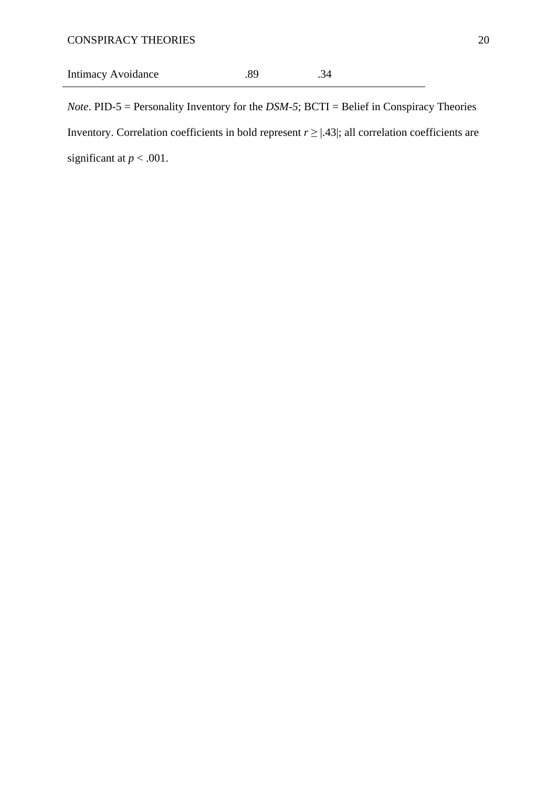# Intimacy Avoidance .89 .34

*Note*. PID-5 = Personality Inventory for the *DSM-5*; BCTI = Belief in Conspiracy Theories Inventory. Correlation coefficients in bold represent  $r \geq |.43|$ ; all correlation coefficients are significant at  $p < .001$ .